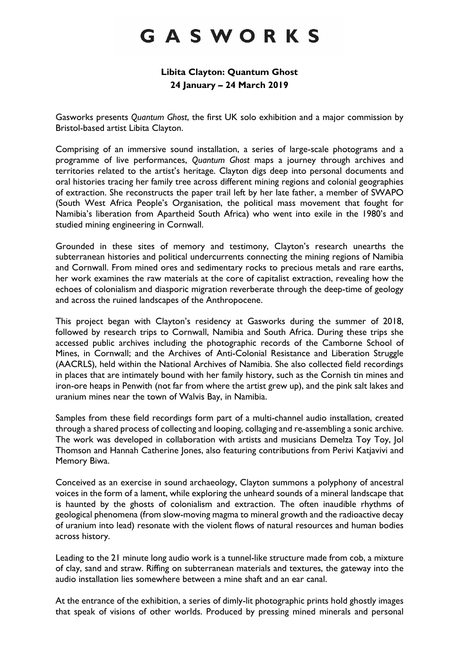# GASWORKS

# **Libita Clayton: Quantum Ghost 24 January – 24 March 2019**

Gasworks presents *Quantum Ghost*, the first UK solo exhibition and a major commission by Bristol-based artist Libita Clayton.

Comprising of an immersive sound installation, a series of large-scale photograms and a programme of live performances, *Quantum Ghost* maps a journey through archives and territories related to the artist's heritage. Clayton digs deep into personal documents and oral histories tracing her family tree across different mining regions and colonial geographies of extraction. She reconstructs the paper trail left by her late father, a member of SWAPO (South West Africa People's Organisation, the political mass movement that fought for Namibia's liberation from Apartheid South Africa) who went into exile in the 1980's and studied mining engineering in Cornwall.

Grounded in these sites of memory and testimony, Clayton's research unearths the subterranean histories and political undercurrents connecting the mining regions of Namibia and Cornwall. From mined ores and sedimentary rocks to precious metals and rare earths, her work examines the raw materials at the core of capitalist extraction, revealing how the echoes of colonialism and diasporic migration reverberate through the deep-time of geology and across the ruined landscapes of the Anthropocene.

This project began with Clayton's residency at Gasworks during the summer of 2018, followed by research trips to Cornwall, Namibia and South Africa. During these trips she accessed public archives including the photographic records of the Camborne School of Mines, in Cornwall; and the Archives of Anti-Colonial Resistance and Liberation Struggle (AACRLS), held within the National Archives of Namibia. She also collected field recordings in places that are intimately bound with her family history, such as the Cornish tin mines and iron-ore heaps in Penwith (not far from where the artist grew up), and the pink salt lakes and uranium mines near the town of Walvis Bay, in Namibia.

Samples from these field recordings form part of a multi-channel audio installation, created through a shared process of collecting and looping, collaging and re-assembling a sonic archive. The work was developed in collaboration with artists and musicians Demelza Toy Toy, Jol Thomson and Hannah Catherine Jones, also featuring contributions from Perivi Katjavivi and Memory Biwa.

Conceived as an exercise in sound archaeology, Clayton summons a polyphony of ancestral voices in the form of a lament, while exploring the unheard sounds of a mineral landscape that is haunted by the ghosts of colonialism and extraction. The often inaudible rhythms of geological phenomena (from slow-moving magma to mineral growth and the radioactive decay of uranium into lead) resonate with the violent flows of natural resources and human bodies across history.

Leading to the 21 minute long audio work is a tunnel-like structure made from cob, a mixture of clay, sand and straw. Riffing on subterranean materials and textures, the gateway into the audio installation lies somewhere between a mine shaft and an ear canal.

At the entrance of the exhibition, a series of dimly-lit photographic prints hold ghostly images that speak of visions of other worlds. Produced by pressing mined minerals and personal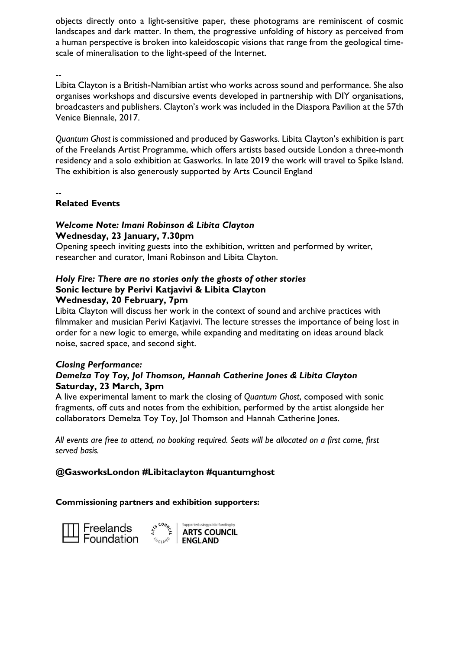objects directly onto a light-sensitive paper, these photograms are reminiscent of cosmic landscapes and dark matter. In them, the progressive unfolding of history as perceived from a human perspective is broken into kaleidoscopic visions that range from the geological timescale of mineralisation to the light-speed of the Internet.

--

Libita Clayton is a British-Namibian artist who works across sound and performance. She also organises workshops and discursive events developed in partnership with DIY organisations, broadcasters and publishers. Clayton's work was included in the Diaspora Pavilion at the 57th Venice Biennale, 2017.

*Quantum Ghost* is commissioned and produced by Gasworks. Libita Clayton's exhibition is part of the Freelands Artist Programme, which offers artists based outside London a three-month residency and a solo exhibition at Gasworks. In late 2019 the work will travel to Spike Island. The exhibition is also generously supported by Arts Council England

--

# **Related Events**

# *Welcome Note: Imani Robinson & Libita Clayton* **Wednesday, 23 January, 7.30pm**

Opening speech inviting guests into the exhibition, written and performed by writer, researcher and curator, Imani Robinson and Libita Clayton.

# *Holy Fire: There are no stories only the ghosts of other stories* **Sonic lecture by Perivi Katjavivi & Libita Clayton**

# **Wednesday, 20 February, 7pm**

Libita Clayton will discuss her work in the context of sound and archive practices with filmmaker and musician Perivi Katjavivi. The lecture stresses the importance of being lost in order for a new logic to emerge, while expanding and meditating on ideas around black noise, sacred space, and second sight.

#### *Closing Performance: Demelza Toy Toy, Jol Thomson, Hannah Catherine Jones & Libita Clayton* **Saturday, 23 March, 3pm**

A live experimental lament to mark the closing of *Quantum Ghost*, composed with sonic fragments, off cuts and notes from the exhibition, performed by the artist alongside her collaborators Demelza Toy Toy, Jol Thomson and Hannah Catherine Jones.

*All events are free to attend, no booking required. Seats will be allocated on a first come, first served basis.*

# **@GasworksLondon #Libitaclayton #quantumghost**

# **Commissioning partners and exhibition supporters:**